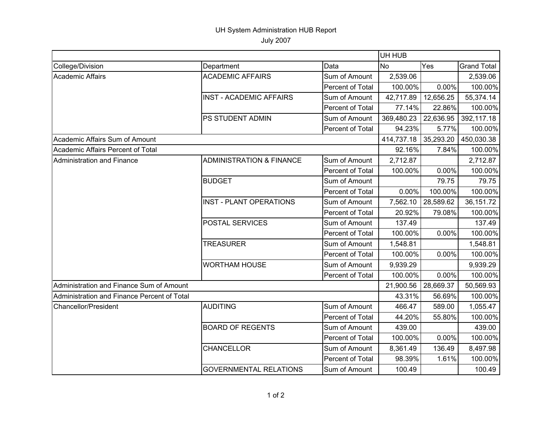## UH System Administration HUB Report

July 2007

|                                             |                                     | UH HUB           |            |           |                    |
|---------------------------------------------|-------------------------------------|------------------|------------|-----------|--------------------|
| College/Division                            | Department                          | Data             | <b>No</b>  | Yes       | <b>Grand Total</b> |
| <b>Academic Affairs</b>                     | <b>ACADEMIC AFFAIRS</b>             | Sum of Amount    | 2,539.06   |           | 2,539.06           |
|                                             |                                     | Percent of Total | 100.00%    | 0.00%     | 100.00%            |
|                                             | <b>INST - ACADEMIC AFFAIRS</b>      | Sum of Amount    | 42,717.89  | 12,656.25 | 55,374.14          |
|                                             |                                     | Percent of Total | 77.14%     | 22.86%    | 100.00%            |
|                                             | PS STUDENT ADMIN                    | Sum of Amount    | 369,480.23 | 22,636.95 | 392,117.18         |
|                                             |                                     | Percent of Total | 94.23%     | 5.77%     | 100.00%            |
| Academic Affairs Sum of Amount              |                                     |                  | 414,737.18 | 35,293.20 | 450,030.38         |
| Academic Affairs Percent of Total           |                                     |                  | 92.16%     | 7.84%     | 100.00%            |
| Administration and Finance                  | <b>ADMINISTRATION &amp; FINANCE</b> | Sum of Amount    | 2,712.87   |           | 2,712.87           |
|                                             |                                     | Percent of Total | 100.00%    | 0.00%     | 100.00%            |
|                                             | <b>BUDGET</b>                       | Sum of Amount    |            | 79.75     | 79.75              |
|                                             |                                     | Percent of Total | 0.00%      | 100.00%   | 100.00%            |
|                                             | <b>INST - PLANT OPERATIONS</b>      | Sum of Amount    | 7,562.10   | 28,589.62 | 36,151.72          |
|                                             |                                     | Percent of Total | 20.92%     | 79.08%    | 100.00%            |
|                                             | <b>POSTAL SERVICES</b>              | Sum of Amount    | 137.49     |           | 137.49             |
|                                             |                                     | Percent of Total | 100.00%    | 0.00%     | 100.00%            |
|                                             | <b>TREASURER</b>                    | Sum of Amount    | 1,548.81   |           | 1,548.81           |
|                                             |                                     | Percent of Total | 100.00%    | 0.00%     | 100.00%            |
|                                             | <b>WORTHAM HOUSE</b>                | Sum of Amount    | 9,939.29   |           | 9,939.29           |
|                                             |                                     | Percent of Total | 100.00%    | 0.00%     | 100.00%            |
| Administration and Finance Sum of Amount    |                                     |                  | 21,900.56  | 28,669.37 | 50,569.93          |
| Administration and Finance Percent of Total |                                     |                  | 43.31%     | 56.69%    | 100.00%            |
| <b>Chancellor/President</b>                 | <b>AUDITING</b>                     | Sum of Amount    | 466.47     | 589.00    | 1,055.47           |
|                                             |                                     | Percent of Total | 44.20%     | 55.80%    | 100.00%            |
|                                             | <b>BOARD OF REGENTS</b>             | Sum of Amount    | 439.00     |           | 439.00             |
|                                             |                                     | Percent of Total | 100.00%    | 0.00%     | 100.00%            |
|                                             | <b>CHANCELLOR</b>                   | Sum of Amount    | 8,361.49   | 136.49    | 8,497.98           |
|                                             |                                     | Percent of Total | 98.39%     | 1.61%     | 100.00%            |
|                                             | <b>GOVERNMENTAL RELATIONS</b>       | Sum of Amount    | 100.49     |           | 100.49             |